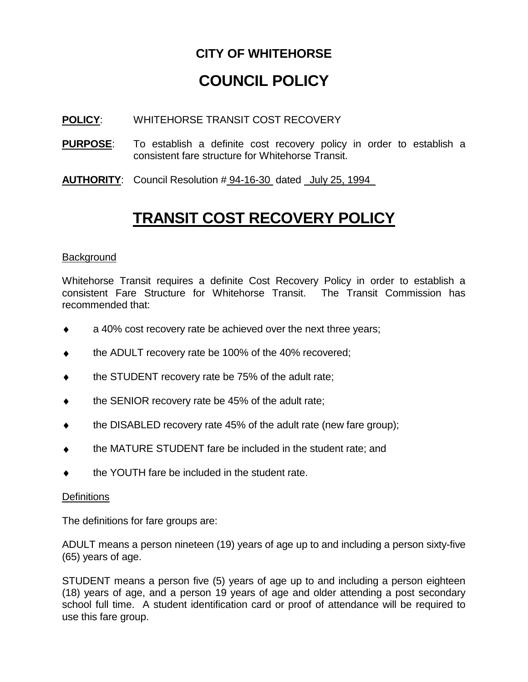### **CITY OF WHITEHORSE**

# **COUNCIL POLICY**

#### **POLICY**: WHITEHORSE TRANSIT COST RECOVERY

- **PURPOSE**: To establish a definite cost recovery policy in order to establish a consistent fare structure for Whitehorse Transit.
- **AUTHORITY**: Council Resolution # 94-16-30 dated July 25, 1994

## **TRANSIT COST RECOVERY POLICY**

#### **Background**

Whitehorse Transit requires a definite Cost Recovery Policy in order to establish a consistent Fare Structure for Whitehorse Transit. The Transit Commission has recommended that:

- a 40% cost recovery rate be achieved over the next three years;  $\bullet$
- the ADULT recovery rate be 100% of the 40% recovered;  $\bullet$
- the STUDENT recovery rate be 75% of the adult rate;  $\bullet$
- the SENIOR recovery rate be 45% of the adult rate;
- the DISABLED recovery rate 45% of the adult rate (new fare group);  $\bullet$
- the MATURE STUDENT fare be included in the student rate; and
- the YOUTH fare be included in the student rate.

#### **Definitions**

The definitions for fare groups are:

ADULT means a person nineteen (19) years of age up to and including a person sixty-five (65) years of age.

STUDENT means a person five (5) years of age up to and including a person eighteen (18) years of age, and a person 19 years of age and older attending a post secondary school full time. A student identification card or proof of attendance will be required to use this fare group.